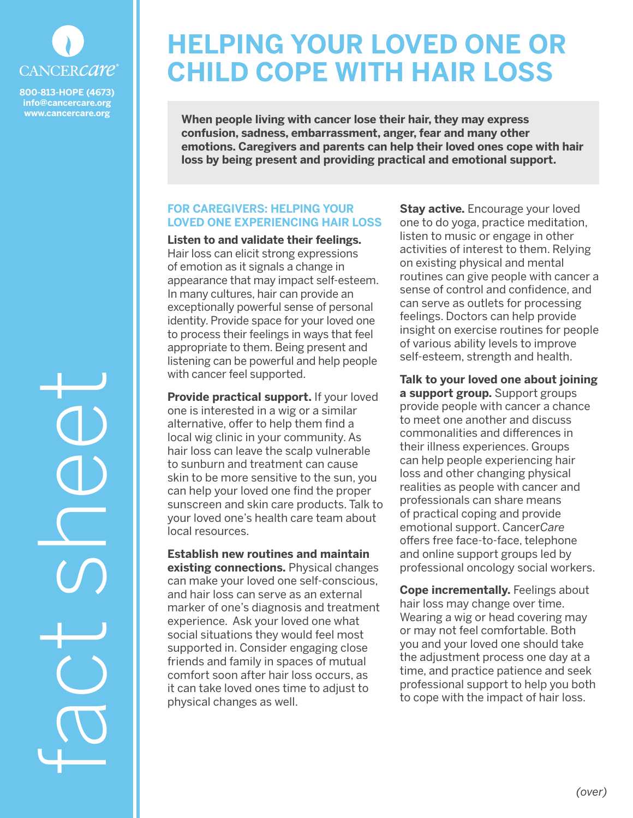

**800-813-HOPE (4673) info@cancercare.org www.cancercare.org**

fact sheet

# **HELPING YOUR LOVED ONE OR CHILD COPE WITH HAIR LOSS**

**When people living with cancer lose their hair, they may express confusion, sadness, embarrassment, anger, fear and many other emotions. Caregivers and parents can help their loved ones cope with hair loss by being present and providing practical and emotional support.**

## **FOR CAREGIVERS: HELPING YOUR LOVED ONE EXPERIENCING HAIR LOSS**

**Listen to and validate their feelings.**  Hair loss can elicit strong expressions of emotion as it signals a change in appearance that may impact self-esteem. In many cultures, hair can provide an exceptionally powerful sense of personal identity. Provide space for your loved one to process their feelings in ways that feel appropriate to them. Being present and listening can be powerful and help people with cancer feel supported.

**Provide practical support.** If your loved one is interested in a wig or a similar alternative, offer to help them find a local wig clinic in your community. As hair loss can leave the scalp vulnerable to sunburn and treatment can cause skin to be more sensitive to the sun, you can help your loved one find the proper sunscreen and skin care products. Talk to your loved one's health care team about local resources.

**Establish new routines and maintain existing connections.** Physical changes can make your loved one self-conscious, and hair loss can serve as an external marker of one's diagnosis and treatment experience. Ask your loved one what social situations they would feel most supported in. Consider engaging close friends and family in spaces of mutual comfort soon after hair loss occurs, as it can take loved ones time to adjust to physical changes as well.

**Stay active.** Encourage your loved one to do yoga, practice meditation, listen to music or engage in other activities of interest to them. Relying on existing physical and mental routines can give people with cancer a sense of control and confidence, and can serve as outlets for processing feelings. Doctors can help provide insight on exercise routines for people of various ability levels to improve self-esteem, strength and health.

**Talk to your loved one about joining a support group.** Support groups provide people with cancer a chance to meet one another and discuss commonalities and differences in their illness experiences. Groups can help people experiencing hair loss and other changing physical realities as people with cancer and professionals can share means of practical coping and provide emotional support. Cancer*Care* offers free face-to-face, telephone and online support groups led by professional oncology social workers.

**Cope incrementally.** Feelings about hair loss may change over time. Wearing a wig or head covering may or may not feel comfortable. Both you and your loved one should take the adjustment process one day at a time, and practice patience and seek professional support to help you both to cope with the impact of hair loss.